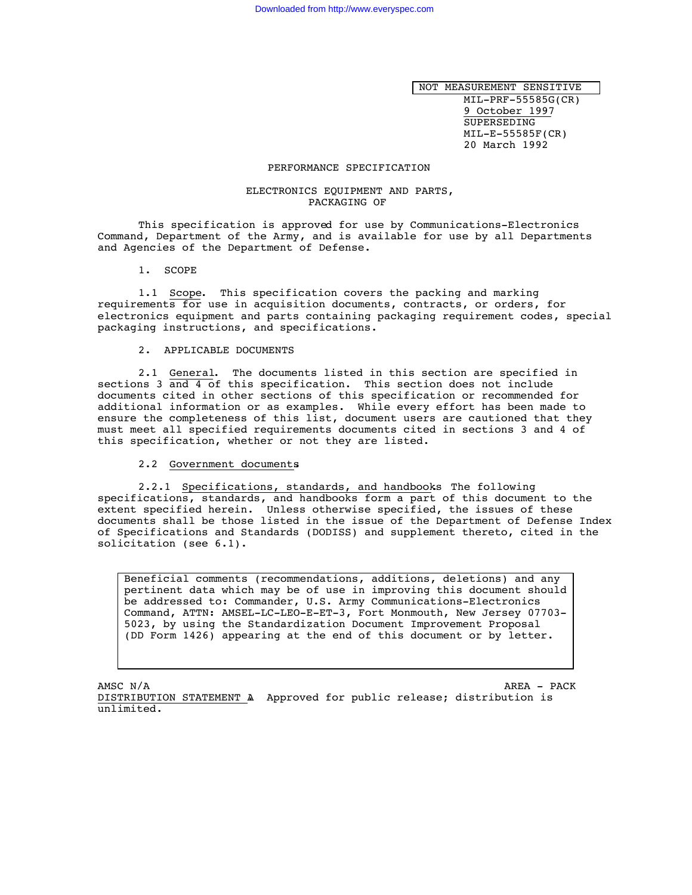NOT MEASUREMENT SENSITIVE MIL-PRF-55585G(CR)

9 October 1997 SUPERSEDING MIL-E-55585F(CR) 20 March 1992

## PERFORMANCE SPECIFICATION

#### ELECTRONICS EQUIPMENT AND PARTS, PACKAGING OF

This specification is approved for use by Communications-Electronics Command, Department of the Army, and is available for use by all Departments and Agencies of the Department of Defense.

1. SCOPE

1.1 Scope. This specification covers the packing and marking requirements for use in acquisition documents, contracts, or orders, for electronics equipment and parts containing packaging requirement codes, special packaging instructions, and specifications.

#### 2. APPLICABLE DOCUMENTS

2.1 General. The documents listed in this section are specified in sections 3 and 4 of this specification. This section does not include documents cited in other sections of this specification or recommended for additional information or as examples. While every effort has been made to ensure the completeness of this list, document users are cautioned that they must meet all specified requirements documents cited in sections 3 and 4 of this specification, whether or not they are listed.

## 2.2 Government documents.

2.2.1 Specifications, standards, and handbooks The following specifications, standards, and handbooks form a part of this document to the extent specified herein. Unless otherwise specified, the issues of these documents shall be those listed in the issue of the Department of Defense Index of Specifications and Standards (DODISS) and supplement thereto, cited in the solicitation (see 6.1).

Beneficial comments (recommendations, additions, deletions) and any pertinent data which may be of use in improving this document should be addressed to: Commander, U.S. Army Communications-Electronics Command, ATTN: AMSEL-LC-LEO-E-ET-3, Fort Monmouth, New Jersey 07703- 5023, by using the Standardization Document Improvement Proposal (DD Form 1426) appearing at the end of this document or by letter.

AMSC N/A AREA - PACK DISTRIBUTION STATEMENT A. Approved for public release; distribution is unlimited.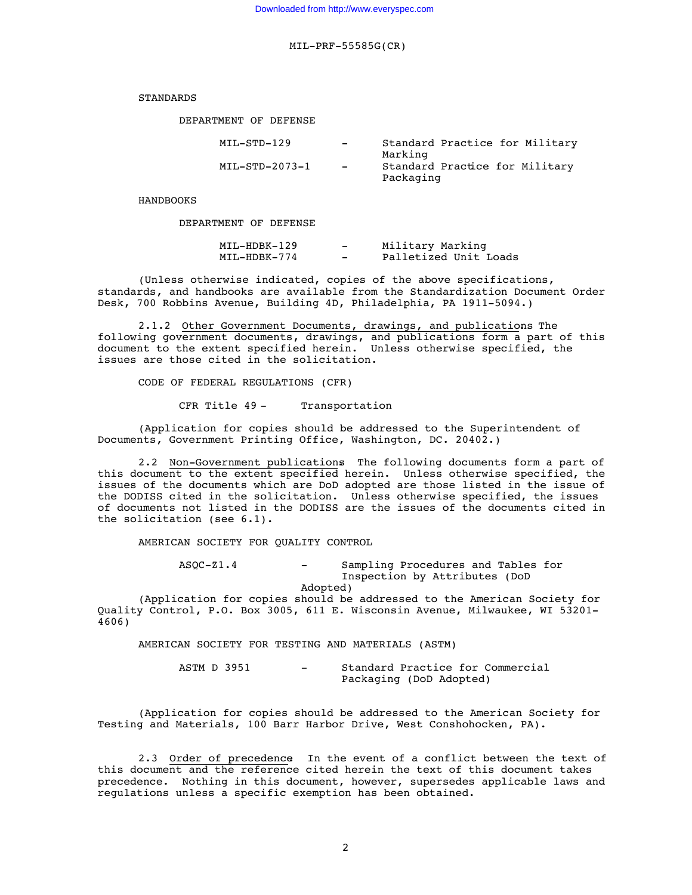STANDARDS

DEPARTMENT OF DEFENSE

| MIL-STD-129    | $\overline{\phantom{0}}$ | Standard Practice for Military                         |  |  |
|----------------|--------------------------|--------------------------------------------------------|--|--|
| MIL-STD-2073-1 | $-$                      | Marking<br>Standard Practice for Military<br>Packaging |  |  |

HANDBOOKS

DEPARTMENT OF DEFENSE

| MIL-HDBK-129 | - | Military Marking      |  |  |
|--------------|---|-----------------------|--|--|
| MIL-HDBK-774 | - | Palletized Unit Loads |  |  |

(Unless otherwise indicated, copies of the above specifications, standards, and handbooks are available from the Standardization Document Order Desk, 700 Robbins Avenue, Building 4D, Philadelphia, PA 1911-5094.)

2.1.2 Other Government Documents, drawings, and publications The following government documents, drawings, and publications form a part of this document to the extent specified herein. Unless otherwise specified, the issues are those cited in the solicitation.

CODE OF FEDERAL REGULATIONS (CFR)

CFR Title 49 - Transportation

(Application for copies should be addressed to the Superintendent of Documents, Government Printing Office, Washington, DC. 20402.)

2.2 Non-Government publications. The following documents form a part of this document to the extent specified herein. Unless otherwise specified, the issues of the documents which are DoD adopted are those listed in the issue of the DODISS cited in the solicitation. Unless otherwise specified, the issues of documents not listed in the DODISS are the issues of the documents cited in the solicitation (see 6.1).

AMERICAN SOCIETY FOR QUALITY CONTROL

ASQC-Z1.4 - Sampling Procedures and Tables for Inspection by Attributes (DoD Adopted)

(Application for copies should be addressed to the American Society for Quality Control, P.O. Box 3005, 611 E. Wisconsin Avenue, Milwaukee, WI 53201- 4606)

AMERICAN SOCIETY FOR TESTING AND MATERIALS (ASTM)

ASTM D 3951 - Standard Practice for Commercial Packaging (DoD Adopted)

(Application for copies should be addressed to the American Society for Testing and Materials, 100 Barr Harbor Drive, West Conshohocken, PA).

2.3 Order of precedence In the event of a conflict between the text of this document and the reference cited herein the text of this document takes precedence. Nothing in this document, however, supersedes applicable laws and regulations unless a specific exemption has been obtained.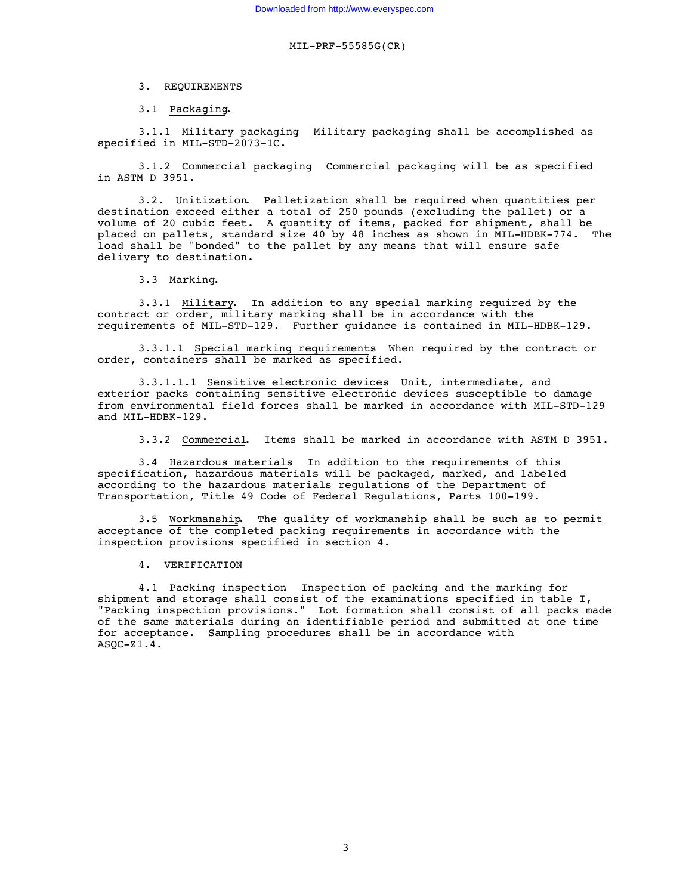3. REQUIREMENTS

3.1 Packaging.

3.1.1 Military packaging. Military packaging shall be accomplished as specified in MIL-STD-2073-1C.

3.1.2 Commercial packaging. Commercial packaging will be as specified in ASTM D  $395\overline{1.}$ 

3.2. Unitization. Palletization shall be required when quantities per destination exceed either a total of 250 pounds (excluding the pallet) or a volume of 20 cubic feet. A quantity of items, packed for shipment, shall be placed on pallets, standard size 40 by 48 inches as shown in MIL-HDBK-774. The load shall be "bonded" to the pallet by any means that will ensure safe delivery to destination.

3.3 Marking.

3.3.1 Military. In addition to any special marking required by the contract or order, military marking shall be in accordance with the requirements of MIL-STD-129. Further guidance is contained in MIL-HDBK-129.

3.3.1.1 Special marking requirements. When required by the contract or order, containers shall be marked as specified.

3.3.1.1.1 Sensitive electronic devices. Unit, intermediate, and exterior packs containing sensitive electronic devices susceptible to damage from environmental field forces shall be marked in accordance with MIL-STD-129 and MIL-HDBK-129.

3.3.2 Commercial. Items shall be marked in accordance with ASTM D 3951.

3.4 Hazardous materials. In addition to the requirements of this specification, hazardous materials will be packaged, marked, and labeled according to the hazardous materials regulations of the Department of Transportation, Title 49 Code of Federal Regulations, Parts 100-199.

3.5 Workmanship. The quality of workmanship shall be such as to permit acceptance of the completed packing requirements in accordance with the inspection provisions specified in section 4.

4. VERIFICATION

4.1 Packing inspection. Inspection of packing and the marking for shipment and storage shall consist of the examinations specified in table I, "Packing inspection provisions." Lot formation shall consist of all packs made of the same materials during an identifiable period and submitted at one time for acceptance. Sampling procedures shall be in accordance with  $ASOC-Z1.4.$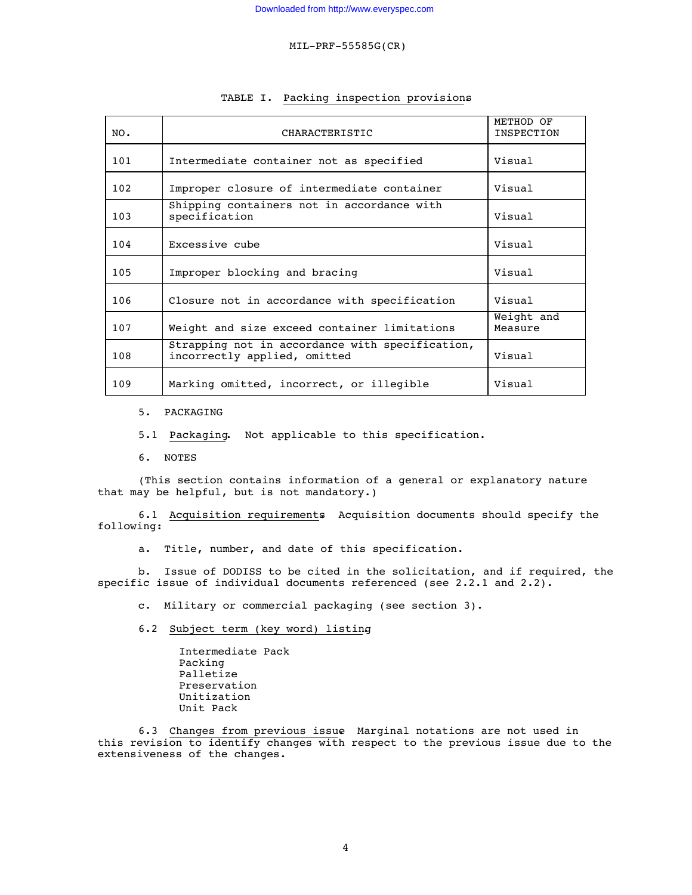| NO. | CHARACTERISTIC                                                                  | METHOD OF<br>INSPECTION |
|-----|---------------------------------------------------------------------------------|-------------------------|
| 101 | Intermediate container not as specified                                         | Visual                  |
| 102 | Improper closure of intermediate container                                      | Visual                  |
| 103 | Shipping containers not in accordance with<br>specification                     | Visual                  |
| 104 | Excessive cube                                                                  | Visual                  |
| 105 | Improper blocking and bracing                                                   | Visual                  |
| 106 | Closure not in accordance with specification                                    | Visual                  |
| 107 | Weight and size exceed container limitations                                    | Weight and<br>Measure   |
| 108 | Strapping not in accordance with specification,<br>incorrectly applied, omitted | Visual                  |
| 109 | Marking omitted, incorrect, or illegible                                        | Visual                  |

## TABLE I. Packing inspection provisions.

## 5. PACKAGING

5.1 Packaging. Not applicable to this specification.

6. NOTES

(This section contains information of a general or explanatory nature that may be helpful, but is not mandatory.)

6.1 Acquisition requirements. Acquisition documents should specify the following:

a. Title, number, and date of this specification.

b. Issue of DODISS to be cited in the solicitation, and if required, the specific issue of individual documents referenced (see 2.2.1 and 2.2).

c. Military or commercial packaging (see section 3).

6.2 Subject term (key word) listing.

Intermediate Pack Packing Palletize Preservation Unitization Unit Pack

6.3 Changes from previous issue. Marginal notations are not used in this revision to identify changes with respect to the previous issue due to the extensiveness of the changes.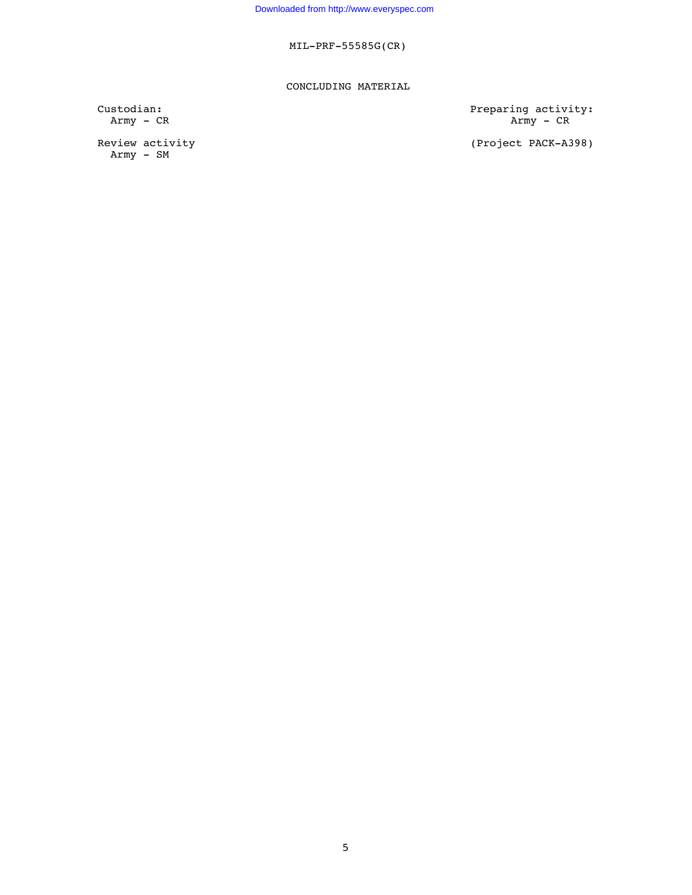## CONCLUDING MATERIAL

Review activity<br>Army - SM

Custodian: Preparing activity: Army - CR Army - CR Army - CR Army - CR Army - CR Army - CR Army - CR Army - CR Army - CR Army - CR Army - CR Army - CR Army - CR Army - CR Army - CR Army - CR Army - CR Army - CR Army - CR Army - CR Army - CR Army - CR Ar

(Project PACK-A398)